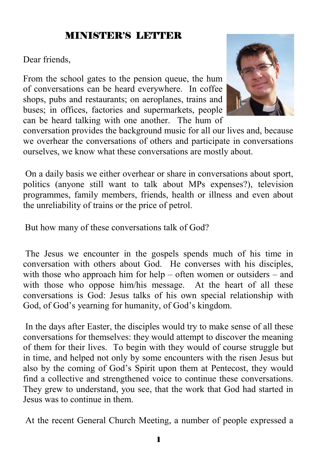#### MINISTER'S LETTER

Dear friends,

From the school gates to the pension queue, the hum of conversations can be heard everywhere. In coffee shops, pubs and restaurants; on aeroplanes, trains and buses; in offices, factories and supermarkets, people can be heard talking with one another. The hum of



conversation provides the background music for all our lives and, because we overhear the conversations of others and participate in conversations ourselves, we know what these conversations are mostly about.

 On a daily basis we either overhear or share in conversations about sport, politics (anyone still want to talk about MPs expenses?), television programmes, family members, friends, health or illness and even about the unreliability of trains or the price of petrol.

But how many of these conversations talk of God?

 The Jesus we encounter in the gospels spends much of his time in conversation with others about God. He converses with his disciples, with those who approach him for help – often women or outsiders – and with those who oppose him/his message. At the heart of all these conversations is God: Jesus talks of his own special relationship with God, of God's yearning for humanity, of God's kingdom.

 In the days after Easter, the disciples would try to make sense of all these conversations for themselves: they would attempt to discover the meaning of them for their lives. To begin with they would of course struggle but in time, and helped not only by some encounters with the risen Jesus but also by the coming of God's Spirit upon them at Pentecost, they would find a collective and strengthened voice to continue these conversations. They grew to understand, you see, that the work that God had started in Jesus was to continue in them.

At the recent General Church Meeting, a number of people expressed a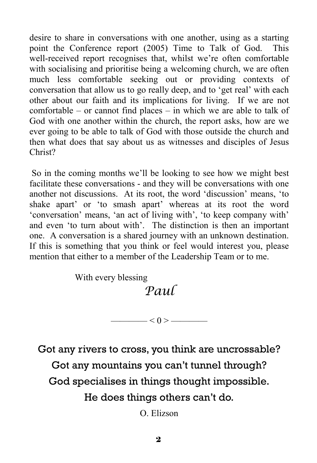desire to share in conversations with one another, using as a starting point the Conference report (2005) Time to Talk of God. This well-received report recognises that, whilst we're often comfortable with socialising and prioritise being a welcoming church, we are often much less comfortable seeking out or providing contexts of conversation that allow us to go really deep, and to 'get real' with each other about our faith and its implications for living. If we are not comfortable – or cannot find places – in which we are able to talk of God with one another within the church, the report asks, how are we ever going to be able to talk of God with those outside the church and then what does that say about us as witnesses and disciples of Jesus Christ?

 So in the coming months we'll be looking to see how we might best facilitate these conversations - and they will be conversations with one another not discussions. At its root, the word 'discussion' means, 'to shake apart' or 'to smash apart' whereas at its root the word 'conversation' means, 'an act of living with', 'to keep company with' and even 'to turn about with'. The distinction is then an important one. A conversation is a shared journey with an unknown destination. If this is something that you think or feel would interest you, please mention that either to a member of the Leadership Team or to me.

With every blessing

# *Paul*

 $\longrightarrow$   $<$  0 >  $\longrightarrow$ 

Got any rivers to cross, you think are uncrossable? Got any mountains you can't tunnel through? God specialises in things thought impossible. He does things others can't do.

O. Elizson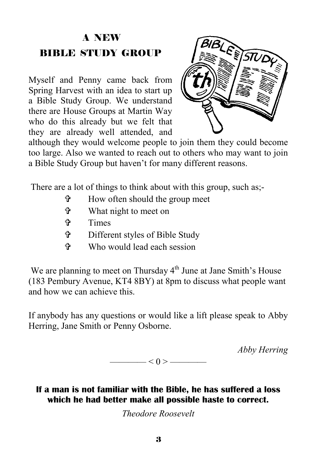## A NEW BIBLE STUDY GROUP

Myself and Penny came back from Spring Harvest with an idea to start up a Bible Study Group. We understand there are House Groups at Martin Way who do this already but we felt that they are already well attended, and



although they would welcome people to join them they could become too large. Also we wanted to reach out to others who may want to join a Bible Study Group but haven't for many different reasons.

There are a lot of things to think about with this group, such as:-

- $\mathbf{\hat{F}}$  How often should the group meet
- = What night to meet on
- = Times
- = Different styles of Bible Study
- $\mathcal{F}$  Who would lead each session

We are planning to meet on Thursday  $4<sup>th</sup>$  June at Jane Smith's House (183 Pembury Avenue, KT4 8BY) at 8pm to discuss what people want and how we can achieve this.

If anybody has any questions or would like a lift please speak to Abby Herring, Jane Smith or Penny Osborne.

*Abby Herring* 

———— $< 0 >$ ————

#### **If a man is not familiar with the Bible, he has suffered a loss which he had better make all possible haste to correct.**

*Theodore Roosevelt*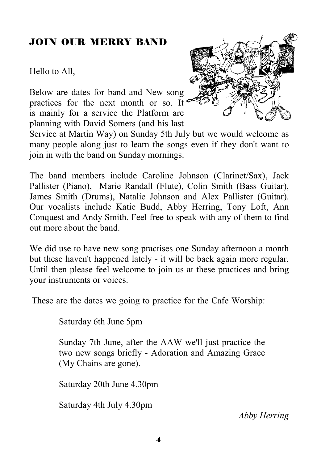#### JOIN OUR MERRY BAND

Hello to All,

Below are dates for band and New song practices for the next month or so. It is mainly for a service the Platform are planning with David Somers (and his last



Service at Martin Way) on Sunday 5th July but we would welcome as many people along just to learn the songs even if they don't want to join in with the band on Sunday mornings.

The band members include Caroline Johnson (Clarinet/Sax), Jack Pallister (Piano), Marie Randall (Flute), Colin Smith (Bass Guitar), James Smith (Drums), Natalie Johnson and Alex Pallister (Guitar). Our vocalists include Katie Budd, Abby Herring, Tony Loft, Ann Conquest and Andy Smith. Feel free to speak with any of them to find out more about the band.

We did use to have new song practises one Sunday afternoon a month but these haven't happened lately - it will be back again more regular. Until then please feel welcome to join us at these practices and bring your instruments or voices.

These are the dates we going to practice for the Cafe Worship:

Saturday 6th June 5pm

Sunday 7th June, after the AAW we'll just practice the two new songs briefly - Adoration and Amazing Grace (My Chains are gone).

Saturday 20th June 4.30pm

Saturday 4th July 4.30pm

*Abby Herring*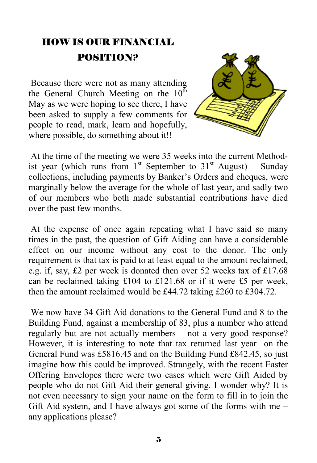## HOW IS OUR FINANCIAL POSITION?

 Because there were not as many attending the General Church Meeting on the  $10<sup>th</sup>$ May as we were hoping to see there, I have been asked to supply a few comments for people to read, mark, learn and hopefully, where possible, do something about it!!



 At the time of the meeting we were 35 weeks into the current Methodist year (which runs from  $1^{st}$  September to  $31^{st}$  August) – Sunday collections, including payments by Banker's Orders and cheques, were marginally below the average for the whole of last year, and sadly two of our members who both made substantial contributions have died over the past few months.

 At the expense of once again repeating what I have said so many times in the past, the question of Gift Aiding can have a considerable effect on our income without any cost to the donor. The only requirement is that tax is paid to at least equal to the amount reclaimed, e.g. if, say, £2 per week is donated then over 52 weeks tax of £17.68 can be reclaimed taking £104 to £121.68 or if it were £5 per week, then the amount reclaimed would be £44.72 taking £260 to £304.72.

 We now have 34 Gift Aid donations to the General Fund and 8 to the Building Fund, against a membership of 83, plus a number who attend regularly but are not actually members – not a very good response? However, it is interesting to note that tax returned last year on the General Fund was £5816.45 and on the Building Fund £842.45, so just imagine how this could be improved. Strangely, with the recent Easter Offering Envelopes there were two cases which were Gift Aided by people who do not Gift Aid their general giving. I wonder why? It is not even necessary to sign your name on the form to fill in to join the Gift Aid system, and I have always got some of the forms with me – any applications please?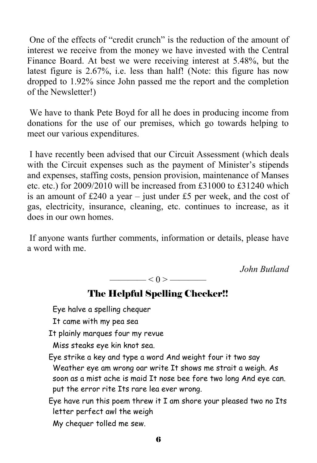One of the effects of "credit crunch" is the reduction of the amount of interest we receive from the money we have invested with the Central Finance Board. At best we were receiving interest at 5.48%, but the latest figure is 2.67%, i.e. less than half! (Note: this figure has now dropped to 1.92% since John passed me the report and the completion of the Newsletter!)

 We have to thank Pete Boyd for all he does in producing income from donations for the use of our premises, which go towards helping to meet our various expenditures.

 I have recently been advised that our Circuit Assessment (which deals with the Circuit expenses such as the payment of Minister's stipends and expenses, staffing costs, pension provision, maintenance of Manses etc. etc.) for 2009/2010 will be increased from £31000 to £31240 which is an amount of  $£240$  a year – just under  $£5$  per week, and the cost of gas, electricity, insurance, cleaning, etc. continues to increase, as it does in our own homes.

 If anyone wants further comments, information or details, please have a word with me.

*John Butland* 

 $\le$  0 >  $-$ 

#### The Helpful Spelling Checker!!

Eye halve a spelling chequer

It came with my pea sea

It plainly marques four my revue

Miss steaks eye kin knot sea.

Eye strike a key and type a word And weight four it two say Weather eye am wrong oar write It shows me strait a weigh. As soon as a mist ache is maid It nose bee fore two long And eye can. put the error rite Its rare lea ever wrong.

Eye have run this poem threw it I am shore your pleased two no Its letter perfect awl the weigh

My chequer tolled me sew.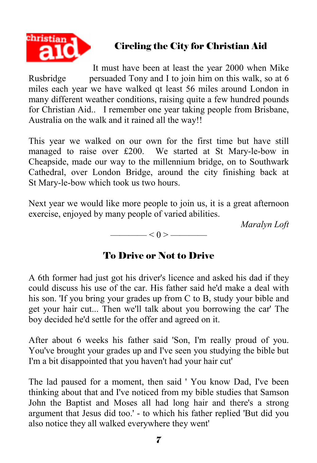

#### Circling the City for Christian Aid

It must have been at least the year 2000 when Mike Rusbridge persuaded Tony and I to join him on this walk, so at 6 miles each year we have walked qt least 56 miles around London in many different weather conditions, raising quite a few hundred pounds for Christian Aid.. I remember one year taking people from Brisbane, Australia on the walk and it rained all the way!!

This year we walked on our own for the first time but have still managed to raise over £200. We started at St Mary-le-bow in Cheapside, made our way to the millennium bridge, on to Southwark Cathedral, over London Bridge, around the city finishing back at St Mary-le-bow which took us two hours.

Next year we would like more people to join us, it is a great afternoon exercise, enjoyed by many people of varied abilities.

*Maralyn Loft* 

 $\longrightarrow$  < 0 >  $\longrightarrow$ 

#### To Drive or Not to Drive

A 6th former had just got his driver's licence and asked his dad if they could discuss his use of the car. His father said he'd make a deal with his son. 'If you bring your grades up from C to B, study your bible and get your hair cut... Then we'll talk about you borrowing the car' The boy decided he'd settle for the offer and agreed on it.

After about 6 weeks his father said 'Son, I'm really proud of you. You've brought your grades up and I've seen you studying the bible but I'm a bit disappointed that you haven't had your hair cut'

The lad paused for a moment, then said ' You know Dad, I've been thinking about that and I've noticed from my bible studies that Samson John the Baptist and Moses all had long hair and there's a strong argument that Jesus did too.' - to which his father replied 'But did you also notice they all walked everywhere they went'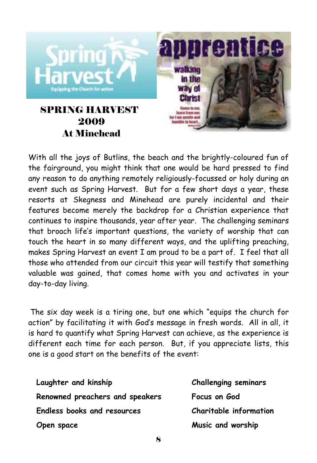

With all the joys of Butlins, the beach and the brightly-coloured fun of the fairground, you might think that one would be hard pressed to find any reason to do anything remotely religiously-focussed or holy during an event such as Spring Harvest. But for a few short days a year, these resorts at Skegness and Minehead are purely incidental and their features become merely the backdrop for a Christian experience that continues to inspire thousands, year after year. The challenging seminars that broach life's important questions, the variety of worship that can touch the heart in so many different ways, and the uplifting preaching, makes Spring Harvest an event I am proud to be a part of. I feel that all those who attended from our circuit this year will testify that something valuable was gained, that comes home with you and activates in your day-to-day living.

The six day week is a tiring one, but one which "equips the church for action" by facilitating it with God's message in fresh words. All in all, it is hard to quantify what Spring Harvest can achieve, as the experience is different each time for each person. But, if you appreciate lists, this one is a good start on the benefits of the event:

| Laughter and kinship               | <b>Challenging seminars</b> |
|------------------------------------|-----------------------------|
| Renowned preachers and speakers    | Focus on God                |
| <b>Endless books and resources</b> | Charitable information      |
| Open space                         | Music and worship           |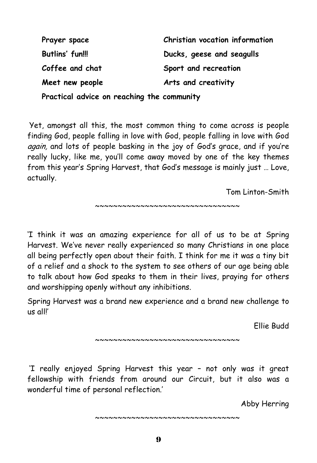| Prayer space    | Christian vocation information |
|-----------------|--------------------------------|
| Butlins' fun!!! | Ducks, geese and seagulls      |
| Coffee and chat | Sport and recreation           |
| Meet new people | Arts and creativity            |
| .               |                                |

**Practical advice on reaching the community** 

Yet, amongst all this, the most common thing to come across is people finding God, people falling in love with God, people falling in love with God again, and lots of people basking in the joy of God's grace, and if you're really lucky, like me, you'll come away moved by one of the key themes from this year's Spring Harvest, that God's message is mainly just … Love, actually.

Tom Linton-Smith

~~~~~~~~~~~~~~~~~~~~~~~~~~~~~~~~~~~~

'I think it was an amazing experience for all of us to be at Spring Harvest. We've never really experienced so many Christians in one place all being perfectly open about their faith. I think for me it was a tiny bit of a relief and a shock to the system to see others of our age being able to talk about how God speaks to them in their lives, praying for others and worshipping openly without any inhibitions.

Spring Harvest was a brand new experience and a brand new challenge to us all!'

Ellie Budd

~~~~~~~~~~~~~~~~~~~~~~~~~~~~~~~~

'I really enjoyed Spring Harvest this year – not only was it great fellowship with friends from around our Circuit, but it also was a wonderful time of personal reflection.'

Abby Herring

~~~~~~~~~~~~~~~~~~~~~~~~~~~~~~~~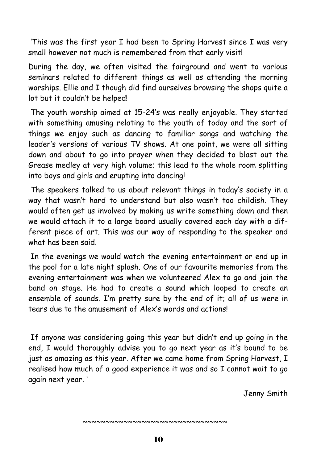'This was the first year I had been to Spring Harvest since I was very small however not much is remembered from that early visit!

During the day, we often visited the fairground and went to various seminars related to different things as well as attending the morning worships. Ellie and I though did find ourselves browsing the shops quite a lot but it couldn't be helped!

 The youth worship aimed at 15-24's was really enjoyable. They started with something amusing relating to the youth of today and the sort of things we enjoy such as dancing to familiar songs and watching the leader's versions of various TV shows. At one point, we were all sitting down and about to go into prayer when they decided to blast out the Grease medley at very high volume; this lead to the whole room splitting into boys and girls and erupting into dancing!

 The speakers talked to us about relevant things in today's society in a way that wasn't hard to understand but also wasn't too childish. They would often get us involved by making us write something down and then we would attach it to a large board usually covered each day with a different piece of art. This was our way of responding to the speaker and what has been said.

 In the evenings we would watch the evening entertainment or end up in the pool for a late night splash. One of our favourite memories from the evening entertainment was when we volunteered Alex to go and join the band on stage. He had to create a sound which looped to create an ensemble of sounds. I'm pretty sure by the end of it; all of us were in tears due to the amusement of Alex's words and actions!

 If anyone was considering going this year but didn't end up going in the end, I would thoroughly advise you to go next year as it's bound to be just as amazing as this year. After we came home from Spring Harvest, I realised how much of a good experience it was and so I cannot wait to go again next year. '

Jenny Smith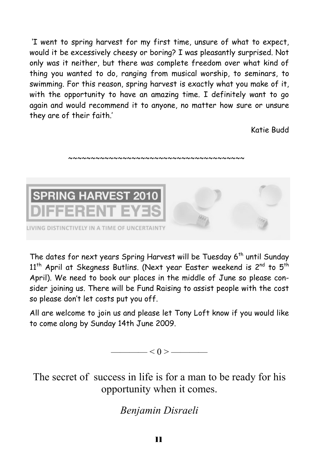'I went to spring harvest for my first time, unsure of what to expect, would it be excessively cheesy or boring? I was pleasantly surprised. Not only was it neither, but there was complete freedom over what kind of thing you wanted to do, ranging from musical worship, to seminars, to swimming. For this reason, spring harvest is exactly what you make of it, with the opportunity to have an amazing time. I definitely want to go again and would recommend it to anyone, no matter how sure or unsure they are of their faith.'

Katie Budd



~~~~~~~~~~~~~~~~~~~~~~~~~~~~~~~~~~~~~

The dates for next years Spring Harvest will be Tuesday 6<sup>th</sup> until Sunday  $11<sup>th</sup>$  April at Skegness Butlins. (Next year Easter weekend is 2<sup>nd</sup> to 5<sup>th</sup> April). We need to book our places in the middle of June so please consider joining us. There will be Fund Raising to assist people with the cost so please don't let costs put you off.

All are welcome to join us and please let Tony Loft know if you would like to come along by Sunday 14th June 2009.



The secret of success in life is for a man to be ready for his opportunity when it comes.

*Benjamin Disraeli*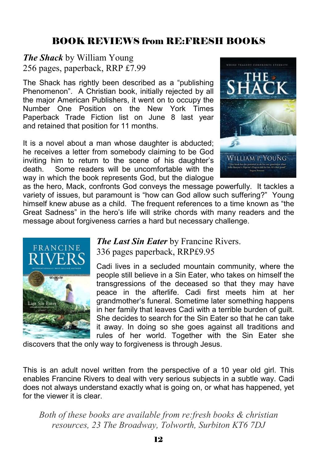#### BOOK REVIEWS from RE:FRESH BOOKS

*The Shack* by William Young 256 pages, paperback, RRP £7.99

The Shack has rightly been described as a "publishing Phenomenon". A Christian book, initially rejected by all the major American Publishers, it went on to occupy the Number One Position on the New York Times Paperback Trade Fiction list on June 8 last year and retained that position for 11 months.

It is a novel about a man whose daughter is abducted; he receives a letter from somebody claiming to be God inviting him to return to the scene of his daughter's death. Some readers will be uncomfortable with the way in which the book represents God, but the dialogue



as the hero, Mack, confronts God conveys the message powerfully. It tackles a variety of issues, but paramount is "how can God allow such suffering?" Young himself knew abuse as a child. The frequent references to a time known as "the Great Sadness" in the hero's life will strike chords with many readers and the message about forgiveness carries a hard but necessary challenge.



*The Last Sin Eater* by Francine Rivers. 336 pages paperback, RRP£9.95

Cadi lives in a secluded mountain community, where the people still believe in a Sin Eater, who takes on himself the transgressions of the deceased so that they may have peace in the afterlife. Cadi first meets him at her grandmother's funeral. Sometime later something happens in her family that leaves Cadi with a terrible burden of guilt. She decides to search for the Sin Eater so that he can take it away. In doing so she goes against all traditions and rules of her world. Together with the Sin Eater she

discovers that the only way to forgiveness is through Jesus.

This is an adult novel written from the perspective of a 10 year old girl. This enables Francine Rivers to deal with very serious subjects in a subtle way. Cadi does not always understand exactly what is going on, or what has happened, yet for the viewer it is clear.

*Both of these books are available from re:fresh books & christian resources, 23 The Broadway, Tolworth, Surbiton KT6 7DJ*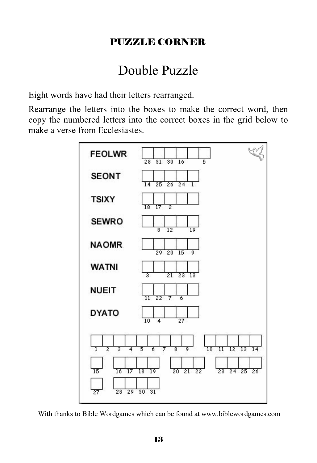#### PUZZLE CORNER

# Double Puzzle

Eight words have had their letters rearranged.

Rearrange the letters into the boxes to make the correct word, then copy the numbered letters into the correct boxes in the grid below to make a verse from Ecclesiastes.



With thanks to Bible Wordgames which can be found at www.biblewordgames.com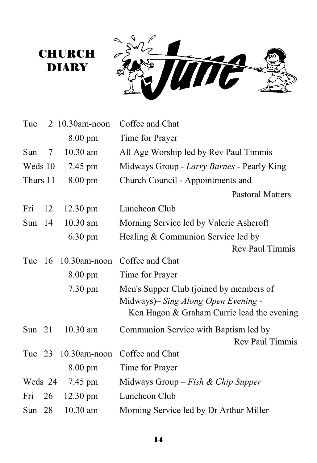### **CHURCH DIARY**



| Tue        |                 | 2 10.30am-noon      | Coffee and Chat                            |
|------------|-----------------|---------------------|--------------------------------------------|
|            |                 | 8.00 pm             | Time for Prayer                            |
| <b>Sun</b> | $7\overline{ }$ | $10.30$ am          | All Age Worship led by Rev Paul Timmis     |
| Weds 10    |                 | 7.45 pm             | Midways Group - Larry Barnes - Pearly King |
| Thurs 11   |                 | 8.00 pm             | Church Council - Appointments and          |
|            |                 |                     | <b>Pastoral Matters</b>                    |
| Fri        | 12              | 12.30 pm            | Luncheon Club                              |
| Sun $14$   |                 | $10.30$ am          | Morning Service led by Valerie Ashcroft    |
|            |                 | 6.30 pm             | Healing & Communion Service led by         |
|            |                 |                     | Rev Paul Timmis                            |
| Tue        | 16              | 10.30am-noon        | Coffee and Chat                            |
|            |                 | $8.00 \text{ pm}$   | Time for Prayer                            |
|            |                 | 7.30 pm             | Men's Supper Club (joined by members of    |
|            |                 |                     | Midways)– Sing Along Open Evening -        |
|            |                 |                     | Ken Hagon & Graham Currie lead the evening |
| Sun $21$   |                 | $10.30$ am          | Communion Service with Baptism led by      |
|            |                 |                     | Rev Paul Timmis                            |
|            |                 | Tue 23 10.30am-noon | Coffee and Chat                            |
|            |                 | $8.00 \text{ pm}$   | Time for Prayer                            |
| Weds 24    |                 | 7.45 pm             | Midways Group - Fish & Chip Supper         |
| Fri        | 26              | 12.30 pm            | Luncheon Club                              |
| Sun $28$   |                 | $10.30$ am          | Morning Service led by Dr Arthur Miller    |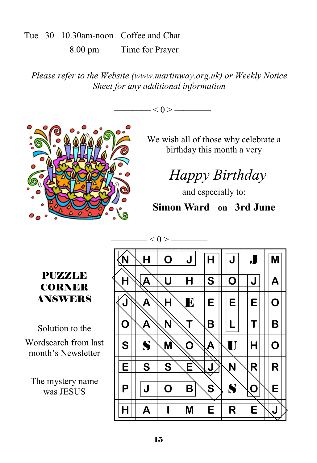#### Tue 30 10.30am-noon Coffee and Chat 8.00 pm Time for Prayer

*Please refer to the Website (www.martinway.org.uk) or Weekly Notice Sheet for any additional information* 





We wish all of those why celebrate a birthday this month a very

# *Happy Birthday*

and especially to:

#### **Simon Ward on 3rd June**

#### PUZZLE CORNER ANSWERS

Solution to the Wordsearch from last month's Newsletter

The mystery name was JESUS